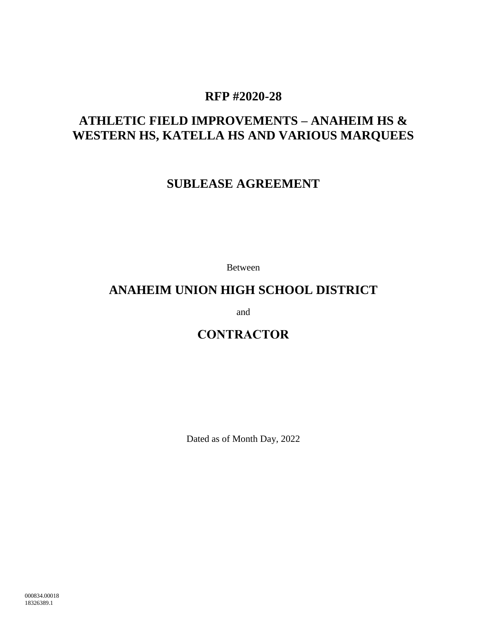# **RFP #2020-28**

# **ATHLETIC FIELD IMPROVEMENTS – ANAHEIM HS & WESTERN HS, KATELLA HS AND VARIOUS MARQUEES**

# **SUBLEASE AGREEMENT**

Between

# **ANAHEIM UNION HIGH SCHOOL DISTRICT**

and

# **CONTRACTOR**

Dated as of Month Day, 2022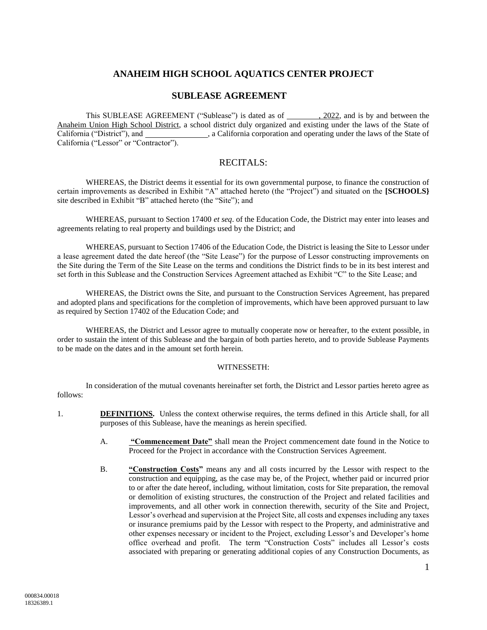# **ANAHEIM HIGH SCHOOL AQUATICS CENTER PROJECT**

# **SUBLEASE AGREEMENT**

This SUBLEASE AGREEMENT ("Sublease") is dated as of , 2022, and is by and between the Anaheim Union High School District, a school district duly organized and existing under the laws of the State of California ("District"), and , a California corporation and operating under the laws of the State of California ("Lessor" or "Contractor").

# RECITALS:

WHEREAS, the District deems it essential for its own governmental purpose, to finance the construction of certain improvements as described in Exhibit "A" attached hereto (the "Project") and situated on the **[SCHOOLS}** site described in Exhibit "B" attached hereto (the "Site"); and

WHEREAS, pursuant to Section 17400 *et seq*. of the Education Code, the District may enter into leases and agreements relating to real property and buildings used by the District; and

WHEREAS, pursuant to Section 17406 of the Education Code, the District is leasing the Site to Lessor under a lease agreement dated the date hereof (the "Site Lease") for the purpose of Lessor constructing improvements on the Site during the Term of the Site Lease on the terms and conditions the District finds to be in its best interest and set forth in this Sublease and the Construction Services Agreement attached as Exhibit "C" to the Site Lease; and

WHEREAS, the District owns the Site, and pursuant to the Construction Services Agreement, has prepared and adopted plans and specifications for the completion of improvements, which have been approved pursuant to law as required by Section 17402 of the Education Code; and

WHEREAS, the District and Lessor agree to mutually cooperate now or hereafter, to the extent possible, in order to sustain the intent of this Sublease and the bargain of both parties hereto, and to provide Sublease Payments to be made on the dates and in the amount set forth herein.

#### WITNESSETH:

In consideration of the mutual covenants hereinafter set forth, the District and Lessor parties hereto agree as follows:

- 1. **DEFINITIONS.** Unless the context otherwise requires, the terms defined in this Article shall, for all purposes of this Sublease, have the meanings as herein specified.
	- A. **"Commencement Date"** shall mean the Project commencement date found in the Notice to Proceed for the Project in accordance with the Construction Services Agreement.
	- B. **"Construction Costs"** means any and all costs incurred by the Lessor with respect to the construction and equipping, as the case may be, of the Project, whether paid or incurred prior to or after the date hereof, including, without limitation, costs for Site preparation, the removal or demolition of existing structures, the construction of the Project and related facilities and improvements, and all other work in connection therewith, security of the Site and Project, Lessor's overhead and supervision at the Project Site, all costs and expenses including any taxes or insurance premiums paid by the Lessor with respect to the Property, and administrative and other expenses necessary or incident to the Project, excluding Lessor's and Developer's home office overhead and profit. The term "Construction Costs" includes all Lessor's costs associated with preparing or generating additional copies of any Construction Documents, as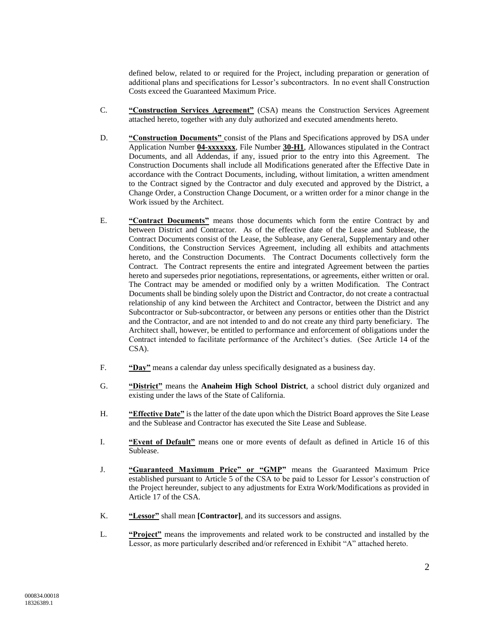defined below, related to or required for the Project, including preparation or generation of additional plans and specifications for Lessor's subcontractors. In no event shall Construction Costs exceed the Guaranteed Maximum Price.

- C. **"Construction Services Agreement"** (CSA) means the Construction Services Agreement attached hereto, together with any duly authorized and executed amendments hereto.
- D. **"Construction Documents"** consist of the Plans and Specifications approved by DSA under Application Number **04-xxxxxxx**, File Number **30-H1**, Allowances stipulated in the Contract Documents, and all Addendas, if any, issued prior to the entry into this Agreement. The Construction Documents shall include all Modifications generated after the Effective Date in accordance with the Contract Documents, including, without limitation, a written amendment to the Contract signed by the Contractor and duly executed and approved by the District, a Change Order, a Construction Change Document, or a written order for a minor change in the Work issued by the Architect.
- E. **"Contract Documents"** means those documents which form the entire Contract by and between District and Contractor. As of the effective date of the Lease and Sublease, the Contract Documents consist of the Lease, the Sublease, any General, Supplementary and other Conditions, the Construction Services Agreement, including all exhibits and attachments hereto, and the Construction Documents. The Contract Documents collectively form the Contract. The Contract represents the entire and integrated Agreement between the parties hereto and supersedes prior negotiations, representations, or agreements, either written or oral. The Contract may be amended or modified only by a written Modification. The Contract Documents shall be binding solely upon the District and Contractor, do not create a contractual relationship of any kind between the Architect and Contractor, between the District and any Subcontractor or Sub-subcontractor, or between any persons or entities other than the District and the Contractor, and are not intended to and do not create any third party beneficiary. The Architect shall, however, be entitled to performance and enforcement of obligations under the Contract intended to facilitate performance of the Architect's duties. (See Article 14 of the CSA).
- F. **"Day"** means a calendar day unless specifically designated as a business day.
- G. **"District"** means the **Anaheim High School District**, a school district duly organized and existing under the laws of the State of California.
- H. **"Effective Date"** is the latter of the date upon which the District Board approves the Site Lease and the Sublease and Contractor has executed the Site Lease and Sublease.
- I. **"Event of Default"** means one or more events of default as defined in Article [16](#page-7-0) of this Sublease.
- J. **"Guaranteed Maximum Price" or "GMP"** means the Guaranteed Maximum Price established pursuant to Article 5 of the CSA to be paid to Lessor for Lessor's construction of the Project hereunder, subject to any adjustments for Extra Work/Modifications as provided in Article 17 of the CSA.
- K. **"Lessor"** shall mean **[Contractor]**, and its successors and assigns.
- L. **"Project"** means the improvements and related work to be constructed and installed by the Lessor, as more particularly described and/or referenced in Exhibit "A" attached hereto.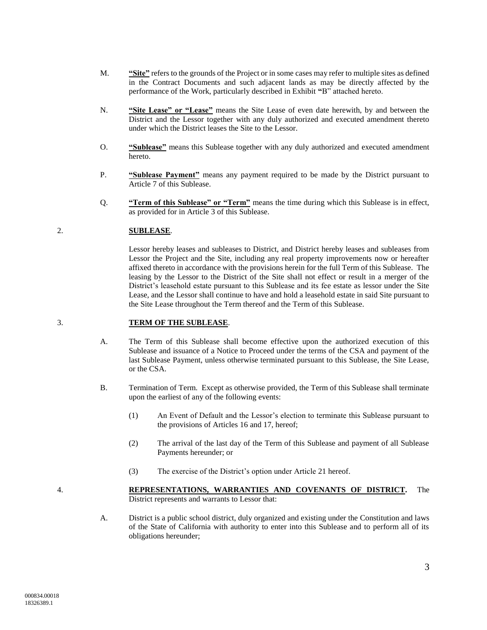- M. **"Site"** refers to the grounds of the Project or in some cases may refer to multiple sites as defined in the Contract Documents and such adjacent lands as may be directly affected by the performance of the Work, particularly described in Exhibit **"**B" attached hereto.
- N. **"Site Lease" or "Lease"** means the Site Lease of even date herewith, by and between the District and the Lessor together with any duly authorized and executed amendment thereto under which the District leases the Site to the Lessor.
- O. **"Sublease"** means this Sublease together with any duly authorized and executed amendment hereto.
- P. **"Sublease Payment"** means any payment required to be made by the District pursuant to Article [7](#page-5-0) of this Sublease.
- Q. **"Term of this Sublease" or "Term"** means the time during which this Sublease is in effect, as provided for in Article [3](#page-3-0) of this Sublease.

## 2. **SUBLEASE**.

Lessor hereby leases and subleases to District, and District hereby leases and subleases from Lessor the Project and the Site, including any real property improvements now or hereafter affixed thereto in accordance with the provisions herein for the full Term of this Sublease. The leasing by the Lessor to the District of the Site shall not effect or result in a merger of the District's leasehold estate pursuant to this Sublease and its fee estate as lessor under the Site Lease, and the Lessor shall continue to have and hold a leasehold estate in said Site pursuant to the Site Lease throughout the Term thereof and the Term of this Sublease.

#### <span id="page-3-0"></span>3. **TERM OF THE SUBLEASE**.

- A. The Term of this Sublease shall become effective upon the authorized execution of this Sublease and issuance of a Notice to Proceed under the terms of the CSA and payment of the last Sublease Payment, unless otherwise terminated pursuant to this Sublease, the Site Lease, or the CSA.
- B. Termination of Term. Except as otherwise provided, the Term of this Sublease shall terminate upon the earliest of any of the following events:
	- (1) An Event of Default and the Lessor's election to terminate this Sublease pursuant to the provisions of Articles [16](#page-7-0) and [17,](#page-8-0) hereof;
	- (2) The arrival of the last day of the Term of this Sublease and payment of all Sublease Payments hereunder; or
	- (3) The exercise of the District's option under Article [21](#page-9-0) hereof.

- 
- 4. **REPRESENTATIONS, WARRANTIES AND COVENANTS OF DISTRICT.** The District represents and warrants to Lessor that:
	- A. District is a public school district, duly organized and existing under the Constitution and laws of the State of California with authority to enter into this Sublease and to perform all of its obligations hereunder;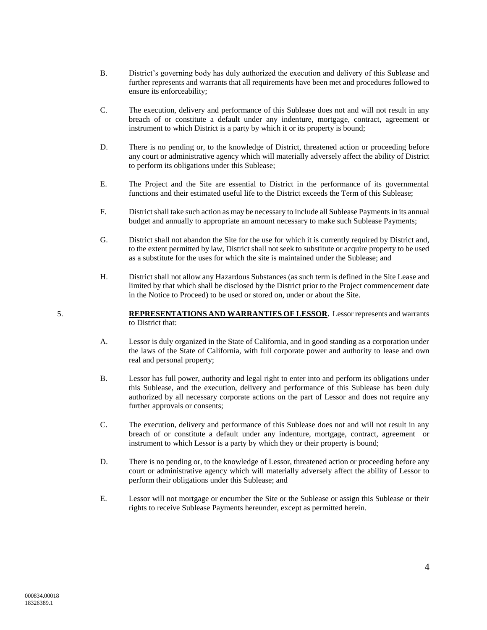- B. District's governing body has duly authorized the execution and delivery of this Sublease and further represents and warrants that all requirements have been met and procedures followed to ensure its enforceability;
- C. The execution, delivery and performance of this Sublease does not and will not result in any breach of or constitute a default under any indenture, mortgage, contract, agreement or instrument to which District is a party by which it or its property is bound;
- D. There is no pending or, to the knowledge of District, threatened action or proceeding before any court or administrative agency which will materially adversely affect the ability of District to perform its obligations under this Sublease;
- E. The Project and the Site are essential to District in the performance of its governmental functions and their estimated useful life to the District exceeds the Term of this Sublease;
- F. District shall take such action as may be necessary to include all Sublease Payments in its annual budget and annually to appropriate an amount necessary to make such Sublease Payments;
- G. District shall not abandon the Site for the use for which it is currently required by District and, to the extent permitted by law, District shall not seek to substitute or acquire property to be used as a substitute for the uses for which the site is maintained under the Sublease; and
- H. District shall not allow any Hazardous Substances (as such term is defined in the Site Lease and limited by that which shall be disclosed by the District prior to the Project commencement date in the Notice to Proceed) to be used or stored on, under or about the Site.

5. **REPRESENTATIONS AND WARRANTIES OF LESSOR.** Lessor represents and warrants to District that:

- A. Lessor is duly organized in the State of California, and in good standing as a corporation under the laws of the State of California, with full corporate power and authority to lease and own real and personal property;
- B. Lessor has full power, authority and legal right to enter into and perform its obligations under this Sublease, and the execution, delivery and performance of this Sublease has been duly authorized by all necessary corporate actions on the part of Lessor and does not require any further approvals or consents;
- C. The execution, delivery and performance of this Sublease does not and will not result in any breach of or constitute a default under any indenture, mortgage, contract, agreement or instrument to which Lessor is a party by which they or their property is bound;
- D. There is no pending or, to the knowledge of Lessor, threatened action or proceeding before any court or administrative agency which will materially adversely affect the ability of Lessor to perform their obligations under this Sublease; and
- E. Lessor will not mortgage or encumber the Site or the Sublease or assign this Sublease or their rights to receive Sublease Payments hereunder, except as permitted herein.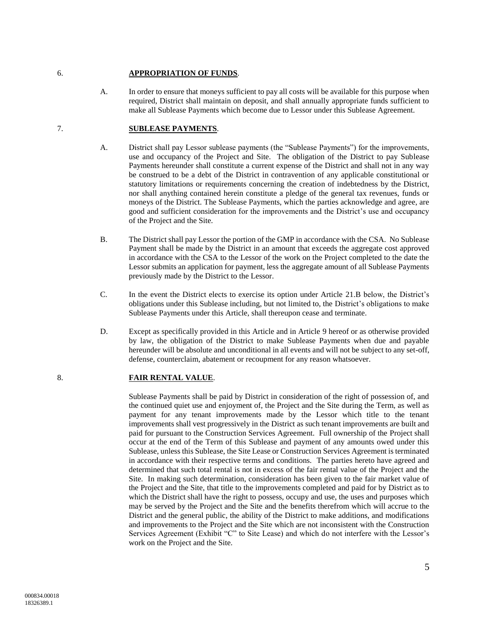#### 6. **APPROPRIATION OF FUNDS**.

A. In order to ensure that moneys sufficient to pay all costs will be available for this purpose when required, District shall maintain on deposit, and shall annually appropriate funds sufficient to make all Sublease Payments which become due to Lessor under this Sublease Agreement.

## <span id="page-5-0"></span>7. **SUBLEASE PAYMENTS**.

- A. District shall pay Lessor sublease payments (the "Sublease Payments") for the improvements, use and occupancy of the Project and Site. The obligation of the District to pay Sublease Payments hereunder shall constitute a current expense of the District and shall not in any way be construed to be a debt of the District in contravention of any applicable constitutional or statutory limitations or requirements concerning the creation of indebtedness by the District, nor shall anything contained herein constitute a pledge of the general tax revenues, funds or moneys of the District. The Sublease Payments, which the parties acknowledge and agree, are good and sufficient consideration for the improvements and the District's use and occupancy of the Project and the Site.
- B. The District shall pay Lessor the portion of the GMP in accordance with the CSA. No Sublease Payment shall be made by the District in an amount that exceeds the aggregate cost approved in accordance with the CSA to the Lessor of the work on the Project completed to the date the Lessor submits an application for payment, less the aggregate amount of all Sublease Payments previously made by the District to the Lessor.
- C. In the event the District elects to exercise its option under Article [21.B](#page-10-0) below, the District's obligations under this Sublease including, but not limited to, the District's obligations to make Sublease Payments under this Article, shall thereupon cease and terminate.
- D. Except as specifically provided in this Article and in Article [9](#page-6-0) hereof or as otherwise provided by law, the obligation of the District to make Sublease Payments when due and payable hereunder will be absolute and unconditional in all events and will not be subject to any set-off, defense, counterclaim, abatement or recoupment for any reason whatsoever.

## 8. **FAIR RENTAL VALUE**.

Sublease Payments shall be paid by District in consideration of the right of possession of, and the continued quiet use and enjoyment of, the Project and the Site during the Term, as well as payment for any tenant improvements made by the Lessor which title to the tenant improvements shall vest progressively in the District as such tenant improvements are built and paid for pursuant to the Construction Services Agreement. Full ownership of the Project shall occur at the end of the Term of this Sublease and payment of any amounts owed under this Sublease, unless this Sublease, the Site Lease or Construction Services Agreement is terminated in accordance with their respective terms and conditions. The parties hereto have agreed and determined that such total rental is not in excess of the fair rental value of the Project and the Site. In making such determination, consideration has been given to the fair market value of the Project and the Site, that title to the improvements completed and paid for by District as to which the District shall have the right to possess, occupy and use, the uses and purposes which may be served by the Project and the Site and the benefits therefrom which will accrue to the District and the general public, the ability of the District to make additions, and modifications and improvements to the Project and the Site which are not inconsistent with the Construction Services Agreement (Exhibit "C" to Site Lease) and which do not interfere with the Lessor's work on the Project and the Site.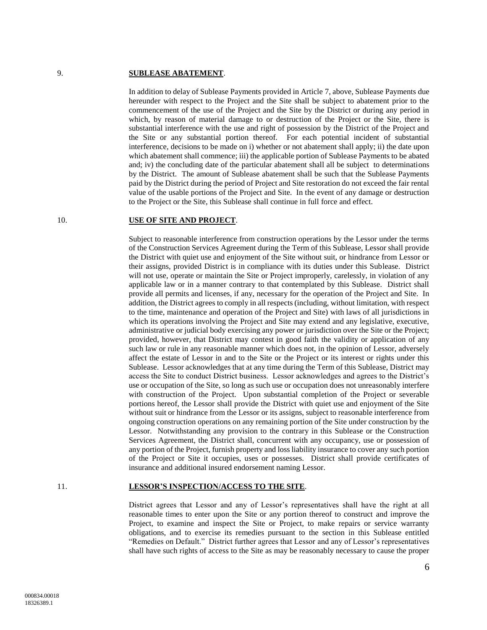#### <span id="page-6-0"></span>9. **SUBLEASE ABATEMENT**.

In addition to delay of Sublease Payments provided in Articl[e 7,](#page-5-0) above, Sublease Payments due hereunder with respect to the Project and the Site shall be subject to abatement prior to the commencement of the use of the Project and the Site by the District or during any period in which, by reason of material damage to or destruction of the Project or the Site, there is substantial interference with the use and right of possession by the District of the Project and the Site or any substantial portion thereof. For each potential incident of substantial interference, decisions to be made on i) whether or not abatement shall apply; ii) the date upon which abatement shall commence; iii) the applicable portion of Sublease Payments to be abated and; iv) the concluding date of the particular abatement shall all be subject to determinations by the District. The amount of Sublease abatement shall be such that the Sublease Payments paid by the District during the period of Project and Site restoration do not exceed the fair rental value of the usable portions of the Project and Site. In the event of any damage or destruction to the Project or the Site, this Sublease shall continue in full force and effect.

#### 10. **USE OF SITE AND PROJECT**.

Subject to reasonable interference from construction operations by the Lessor under the terms of the Construction Services Agreement during the Term of this Sublease, Lessor shall provide the District with quiet use and enjoyment of the Site without suit, or hindrance from Lessor or their assigns, provided District is in compliance with its duties under this Sublease. District will not use, operate or maintain the Site or Project improperly, carelessly, in violation of any applicable law or in a manner contrary to that contemplated by this Sublease. District shall provide all permits and licenses, if any, necessary for the operation of the Project and Site. In addition, the District agrees to comply in all respects (including, without limitation, with respect to the time, maintenance and operation of the Project and Site) with laws of all jurisdictions in which its operations involving the Project and Site may extend and any legislative, executive, administrative or judicial body exercising any power or jurisdiction over the Site or the Project; provided, however, that District may contest in good faith the validity or application of any such law or rule in any reasonable manner which does not, in the opinion of Lessor, adversely affect the estate of Lessor in and to the Site or the Project or its interest or rights under this Sublease. Lessor acknowledges that at any time during the Term of this Sublease, District may access the Site to conduct District business. Lessor acknowledges and agrees to the District's use or occupation of the Site, so long as such use or occupation does not unreasonably interfere with construction of the Project. Upon substantial completion of the Project or severable portions hereof, the Lessor shall provide the District with quiet use and enjoyment of the Site without suit or hindrance from the Lessor or its assigns, subject to reasonable interference from ongoing construction operations on any remaining portion of the Site under construction by the Lessor. Notwithstanding any provision to the contrary in this Sublease or the Construction Services Agreement, the District shall, concurrent with any occupancy, use or possession of any portion of the Project, furnish property and loss liability insurance to cover any such portion of the Project or Site it occupies, uses or possesses. District shall provide certificates of insurance and additional insured endorsement naming Lessor.

## 11. **LESSOR'S INSPECTION/ACCESS TO THE SITE**.

District agrees that Lessor and any of Lessor's representatives shall have the right at all reasonable times to enter upon the Site or any portion thereof to construct and improve the Project, to examine and inspect the Site or Project, to make repairs or service warranty obligations, and to exercise its remedies pursuant to the section in this Sublease entitled "Remedies on Default." District further agrees that Lessor and any of Lessor's representatives shall have such rights of access to the Site as may be reasonably necessary to cause the proper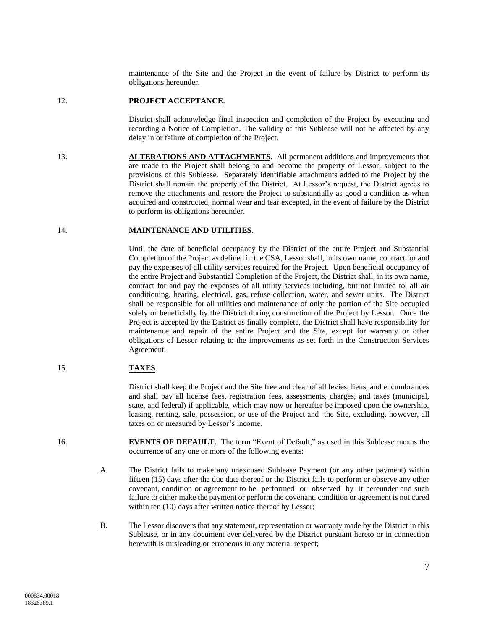maintenance of the Site and the Project in the event of failure by District to perform its obligations hereunder.

#### 12. **PROJECT ACCEPTANCE**.

District shall acknowledge final inspection and completion of the Project by executing and recording a Notice of Completion. The validity of this Sublease will not be affected by any delay in or failure of completion of the Project.

13. **ALTERATIONS AND ATTACHMENTS.** All permanent additions and improvements that are made to the Project shall belong to and become the property of Lessor, subject to the provisions of this Sublease. Separately identifiable attachments added to the Project by the District shall remain the property of the District. At Lessor's request, the District agrees to remove the attachments and restore the Project to substantially as good a condition as when acquired and constructed, normal wear and tear excepted, in the event of failure by the District to perform its obligations hereunder.

# 14. **MAINTENANCE AND UTILITIES**.

Until the date of beneficial occupancy by the District of the entire Project and Substantial Completion of the Project as defined in the CSA, Lessor shall, in its own name, contract for and pay the expenses of all utility services required for the Project. Upon beneficial occupancy of the entire Project and Substantial Completion of the Project, the District shall, in its own name, contract for and pay the expenses of all utility services including, but not limited to, all air conditioning, heating, electrical, gas, refuse collection, water, and sewer units. The District shall be responsible for all utilities and maintenance of only the portion of the Site occupied solely or beneficially by the District during construction of the Project by Lessor. Once the Project is accepted by the District as finally complete, the District shall have responsibility for maintenance and repair of the entire Project and the Site, except for warranty or other obligations of Lessor relating to the improvements as set forth in the Construction Services Agreement.

# 15. **TAXES**.

District shall keep the Project and the Site free and clear of all levies, liens, and encumbrances and shall pay all license fees, registration fees, assessments, charges, and taxes (municipal, state, and federal) if applicable, which may now or hereafter be imposed upon the ownership, leasing, renting, sale, possession, or use of the Project and the Site, excluding, however, all taxes on or measured by Lessor's income.

- <span id="page-7-0"></span>16. **EVENTS OF DEFAULT.** The term "Event of Default," as used in this Sublease means the occurrence of any one or more of the following events:
	- A. The District fails to make any unexcused Sublease Payment (or any other payment) within fifteen (15) days after the due date thereof or the District fails to perform or observe any other covenant, condition or agreement to be performed or observed by it hereunder and such failure to either make the payment or perform the covenant, condition or agreement is not cured within ten (10) days after written notice thereof by Lessor;
	- B. The Lessor discovers that any statement, representation or warranty made by the District in this Sublease, or in any document ever delivered by the District pursuant hereto or in connection herewith is misleading or erroneous in any material respect;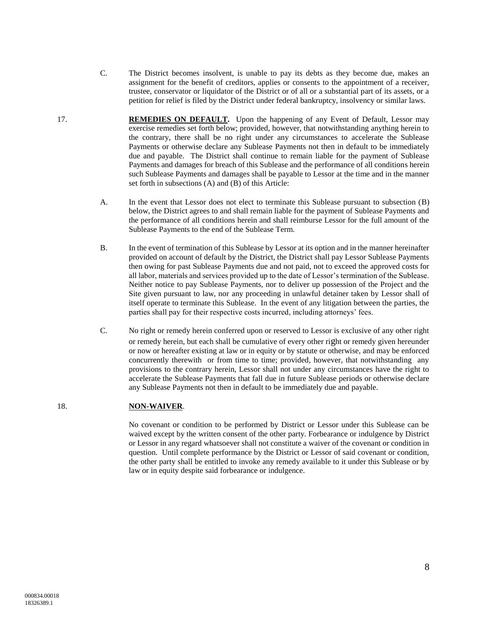- C. The District becomes insolvent, is unable to pay its debts as they become due, makes an assignment for the benefit of creditors, applies or consents to the appointment of a receiver, trustee, conservator or liquidator of the District or of all or a substantial part of its assets, or a petition for relief is filed by the District under federal bankruptcy, insolvency or similar laws.
- <span id="page-8-2"></span><span id="page-8-1"></span><span id="page-8-0"></span>17. **REMEDIES ON DEFAULT.** Upon the happening of any Event of Default, Lessor may exercise remedies set forth below; provided, however, that notwithstanding anything herein to the contrary, there shall be no right under any circumstances to accelerate the Sublease Payments or otherwise declare any Sublease Payments not then in default to be immediately due and payable. The District shall continue to remain liable for the payment of Sublease Payments and damages for breach of this Sublease and the performance of all conditions herein such Sublease Payments and damages shall be payable to Lessor at the time and in the manner set forth in subsections [\(A\)](#page-8-1) and [\(B\)](#page-8-2) of this Article:
	- A. In the event that Lessor does not elect to terminate this Sublease pursuant to subsection [\(B\)](#page-8-2) below, the District agrees to and shall remain liable for the payment of Sublease Payments and the performance of all conditions herein and shall reimburse Lessor for the full amount of the Sublease Payments to the end of the Sublease Term.
	- B. In the event of termination of this Sublease by Lessor at its option and in the manner hereinafter provided on account of default by the District, the District shall pay Lessor Sublease Payments then owing for past Sublease Payments due and not paid, not to exceed the approved costs for all labor, materials and services provided up to the date of Lessor's termination of the Sublease. Neither notice to pay Sublease Payments, nor to deliver up possession of the Project and the Site given pursuant to law, nor any proceeding in unlawful detainer taken by Lessor shall of itself operate to terminate this Sublease. In the event of any litigation between the parties, the parties shall pay for their respective costs incurred, including attorneys' fees.
	- C. No right or remedy herein conferred upon or reserved to Lessor is exclusive of any other right or remedy herein, but each shall be cumulative of every other right or remedy given hereunder or now or hereafter existing at law or in equity or by statute or otherwise, and may be enforced concurrently therewith or from time to time; provided, however, that notwithstanding any provisions to the contrary herein, Lessor shall not under any circumstances have the right to accelerate the Sublease Payments that fall due in future Sublease periods or otherwise declare any Sublease Payments not then in default to be immediately due and payable.

# 18. **NON-WAIVER**.

No covenant or condition to be performed by District or Lessor under this Sublease can be waived except by the written consent of the other party. Forbearance or indulgence by District or Lessor in any regard whatsoever shall not constitute a waiver of the covenant or condition in question. Until complete performance by the District or Lessor of said covenant or condition, the other party shall be entitled to invoke any remedy available to it under this Sublease or by law or in equity despite said forbearance or indulgence.

8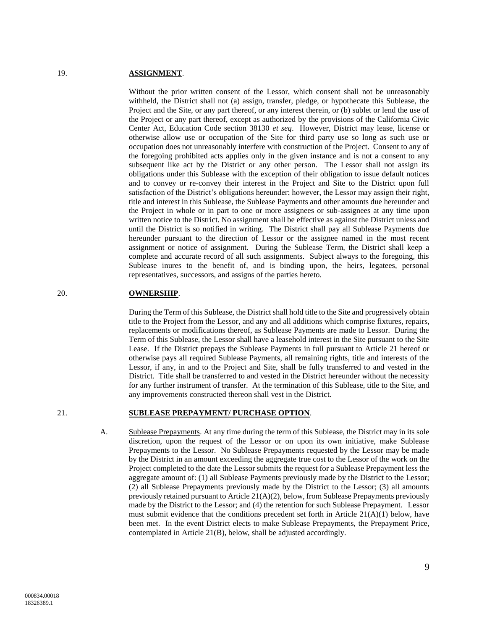#### 19. **ASSIGNMENT**.

Without the prior written consent of the Lessor, which consent shall not be unreasonably withheld, the District shall not (a) assign, transfer, pledge, or hypothecate this Sublease, the Project and the Site, or any part thereof, or any interest therein, or (b) sublet or lend the use of the Project or any part thereof, except as authorized by the provisions of the California Civic Center Act, Education Code section 38130 *et seq*. However, District may lease, license or otherwise allow use or occupation of the Site for third party use so long as such use or occupation does not unreasonably interfere with construction of the Project. Consent to any of the foregoing prohibited acts applies only in the given instance and is not a consent to any subsequent like act by the District or any other person. The Lessor shall not assign its obligations under this Sublease with the exception of their obligation to issue default notices and to convey or re-convey their interest in the Project and Site to the District upon full satisfaction of the District's obligations hereunder; however, the Lessor may assign their right, title and interest in this Sublease, the Sublease Payments and other amounts due hereunder and the Project in whole or in part to one or more assignees or sub-assignees at any time upon written notice to the District. No assignment shall be effective as against the District unless and until the District is so notified in writing. The District shall pay all Sublease Payments due hereunder pursuant to the direction of Lessor or the assignee named in the most recent assignment or notice of assignment. During the Sublease Term, the District shall keep a complete and accurate record of all such assignments. Subject always to the foregoing, this Sublease inures to the benefit of, and is binding upon, the heirs, legatees, personal representatives, successors, and assigns of the parties hereto.

# 20. **OWNERSHIP**.

During the Term of this Sublease, the District shall hold title to the Site and progressively obtain title to the Project from the Lessor, and any and all additions which comprise fixtures, repairs, replacements or modifications thereof, as Sublease Payments are made to Lessor. During the Term of this Sublease, the Lessor shall have a leasehold interest in the Site pursuant to the Site Lease. If the District prepays the Sublease Payments in full pursuant to Article [21](#page-9-0) hereof or otherwise pays all required Sublease Payments, all remaining rights, title and interests of the Lessor, if any, in and to the Project and Site, shall be fully transferred to and vested in the District. Title shall be transferred to and vested in the District hereunder without the necessity for any further instrument of transfer. At the termination of this Sublease, title to the Site, and any improvements constructed thereon shall vest in the District.

## <span id="page-9-1"></span><span id="page-9-0"></span>21. **SUBLEASE PREPAYMENT/ PURCHASE OPTION**.

A. Sublease Prepayments. At any time during the term of this Sublease, the District may in its sole discretion, upon the request of the Lessor or on upon its own initiative, make Sublease Prepayments to the Lessor. No Sublease Prepayments requested by the Lessor may be made by the District in an amount exceeding the aggregate true cost to the Lessor of the work on the Project completed to the date the Lessor submits the request for a Sublease Prepayment less the aggregate amount of: (1) all Sublease Payments previously made by the District to the Lessor; (2) all Sublease Prepayments previously made by the District to the Lessor; (3) all amounts previously retained pursuant to Article  $21(A)(2)$  $21(A)(2)$  $21(A)(2)$ , below, from Sublease Prepayments previously made by the District to the Lessor; and (4) the retention for such Sublease Prepayment. Lessor must submit evidence that the conditions precedent set forth in Article  $21(A)(1)$  $21(A)(1)$  $21(A)(1)$  below, have been met. In the event District elects to make Sublease Prepayments, the Prepayment Price, contemplated in Article [21](#page-9-0)[\(B\)](#page-10-0), below, shall be adjusted accordingly.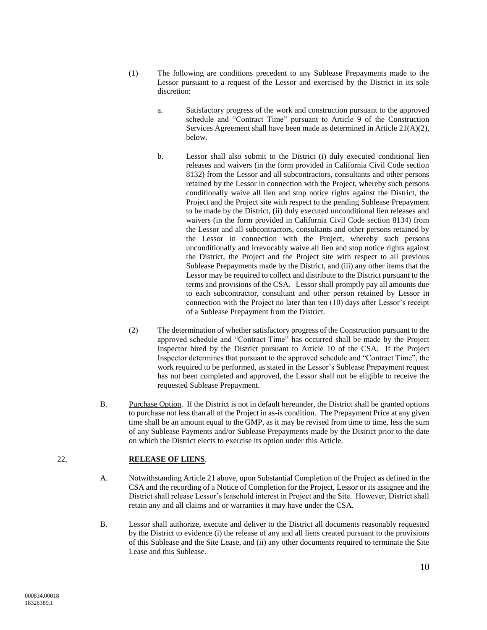- <span id="page-10-2"></span>(1) The following are conditions precedent to any Sublease Prepayments made to the Lessor pursuant to a request of the Lessor and exercised by the District in its sole discretion:
	- a. Satisfactory progress of the work and construction pursuant to the approved schedule and "Contract Time" pursuant to Article 9 of the Construction Services Agreement shall have been made as determined in Article [21](#page-9-0)[\(A\)](#page-9-1)[\(2\),](#page-10-1) below.
	- b. Lessor shall also submit to the District (i) duly executed conditional lien releases and waivers (in the form provided in California Civil Code section 8132) from the Lessor and all subcontractors, consultants and other persons retained by the Lessor in connection with the Project, whereby such persons conditionally waive all lien and stop notice rights against the District, the Project and the Project site with respect to the pending Sublease Prepayment to be made by the District, (ii) duly executed unconditional lien releases and waivers (in the form provided in California Civil Code section 8134) from the Lessor and all subcontractors, consultants and other persons retained by the Lessor in connection with the Project, whereby such persons unconditionally and irrevocably waive all lien and stop notice rights against the District, the Project and the Project site with respect to all previous Sublease Prepayments made by the District, and (iii) any other items that the Lessor may be required to collect and distribute to the District pursuant to the terms and provisions of the CSA. Lessor shall promptly pay all amounts due to each subcontractor, consultant and other person retained by Lessor in connection with the Project no later than ten (10) days after Lessor's receipt of a Sublease Prepayment from the District.
- <span id="page-10-1"></span>(2) The determination of whether satisfactory progress of the Construction pursuant to the approved schedule and "Contract Time" has occurred shall be made by the Project Inspector hired by the District pursuant to Article 10 of the CSA. If the Project Inspector determines that pursuant to the approved schedule and "Contract Time", the work required to be performed, as stated in the Lessor's Sublease Prepayment request has not been completed and approved, the Lessor shall not be eligible to receive the requested Sublease Prepayment.
- <span id="page-10-0"></span>B. Purchase Option. If the District is not in default hereunder, the District shall be granted options to purchase not less than all of the Project in as-is condition. The Prepayment Price at any given time shall be an amount equal to the GMP, as it may be revised from time to time, less the sum of any Sublease Payments and/or Sublease Prepayments made by the District prior to the date on which the District elects to exercise its option under this Article.

## 22. **RELEASE OF LIENS**.

- A. Notwithstanding Article [21](#page-9-0) above, upon Substantial Completion of the Project as defined in the CSA and the recording of a Notice of Completion for the Project, Lessor or its assignee and the District shall release Lessor's leasehold interest in Project and the Site. However, District shall retain any and all claims and or warranties it may have under the CSA.
- B. Lessor shall authorize, execute and deliver to the District all documents reasonably requested by the District to evidence (i) the release of any and all liens created pursuant to the provisions of this Sublease and the Site Lease, and (ii) any other documents required to terminate the Site Lease and this Sublease.

10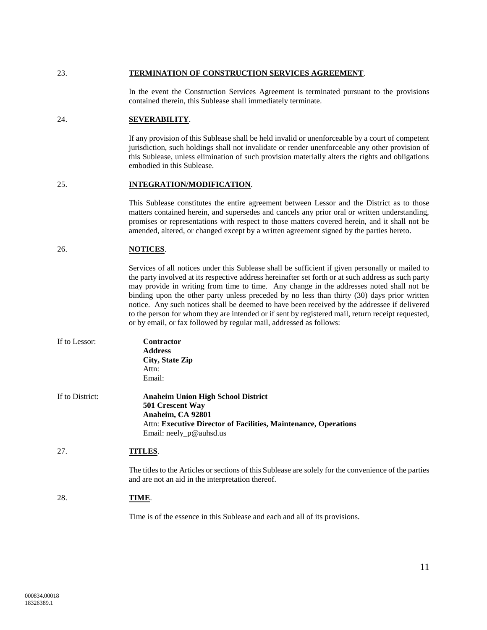#### 23. **TERMINATION OF CONSTRUCTION SERVICES AGREEMENT**.

In the event the Construction Services Agreement is terminated pursuant to the provisions contained therein, this Sublease shall immediately terminate.

### 24. **SEVERABILITY**.

If any provision of this Sublease shall be held invalid or unenforceable by a court of competent jurisdiction, such holdings shall not invalidate or render unenforceable any other provision of this Sublease, unless elimination of such provision materially alters the rights and obligations embodied in this Sublease.

#### 25. **INTEGRATION/MODIFICATION**.

This Sublease constitutes the entire agreement between Lessor and the District as to those matters contained herein, and supersedes and cancels any prior oral or written understanding, promises or representations with respect to those matters covered herein, and it shall not be amended, altered, or changed except by a written agreement signed by the parties hereto.

### 26. **NOTICES**.

Services of all notices under this Sublease shall be sufficient if given personally or mailed to the party involved at its respective address hereinafter set forth or at such address as such party may provide in writing from time to time. Any change in the addresses noted shall not be binding upon the other party unless preceded by no less than thirty (30) days prior written notice. Any such notices shall be deemed to have been received by the addressee if delivered to the person for whom they are intended or if sent by registered mail, return receipt requested, or by email, or fax followed by regular mail, addressed as follows:

| If to Lessor:   | <b>Contractor</b><br><b>Address</b><br>City, State Zip<br>Attn:<br>Email:                                                                                                           |
|-----------------|-------------------------------------------------------------------------------------------------------------------------------------------------------------------------------------|
| If to District: | <b>Anaheim Union High School District</b><br>501 Crescent Way<br>Anaheim, CA 92801<br>Attn: Executive Director of Facilities, Maintenance, Operations<br>Email: $neely_p@$ auhsd.us |
| 27.             | TITLES.                                                                                                                                                                             |
|                 | The titles to the Articles or sections of this Sublease are solely for the convenience of the parties<br>and are not an aid in the interpretation thereof.                          |
| 28.             | TIME.                                                                                                                                                                               |

Time is of the essence in this Sublease and each and all of its provisions.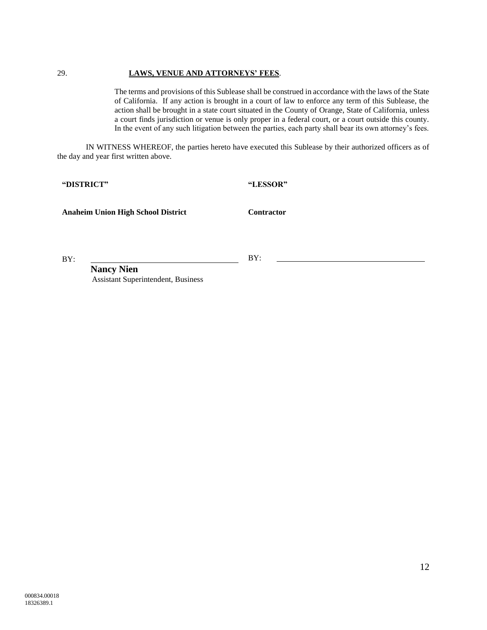#### 29. **LAWS, VENUE AND ATTORNEYS' FEES**.

The terms and provisions of this Sublease shall be construed in accordance with the laws of the State of California. If any action is brought in a court of law to enforce any term of this Sublease, the action shall be brought in a state court situated in the County of Orange, State of California, unless a court finds jurisdiction or venue is only proper in a federal court, or a court outside this county. In the event of any such litigation between the parties, each party shall bear its own attorney's fees.

IN WITNESS WHEREOF, the parties hereto have executed this Sublease by their authorized officers as of the day and year first written above.

**"DISTRICT"**

**"LESSOR"**

**Anaheim Union High School District**

**Contractor**

BY:

BY:

**Nancy Nien** Assistant Superintendent, Business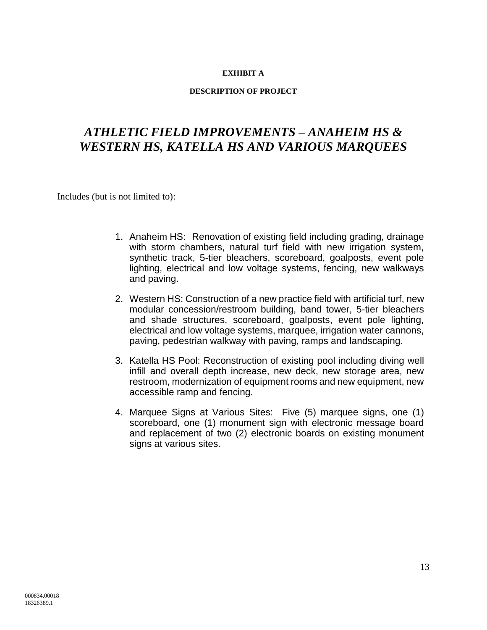# **EXHIBIT A**

# **DESCRIPTION OF PROJECT**

# *ATHLETIC FIELD IMPROVEMENTS – ANAHEIM HS & WESTERN HS, KATELLA HS AND VARIOUS MARQUEES*

Includes (but is not limited to):

- 1. Anaheim HS: Renovation of existing field including grading, drainage with storm chambers, natural turf field with new irrigation system, synthetic track, 5-tier bleachers, scoreboard, goalposts, event pole lighting, electrical and low voltage systems, fencing, new walkways and paving.
- 2. Western HS: Construction of a new practice field with artificial turf, new modular concession/restroom building, band tower, 5-tier bleachers and shade structures, scoreboard, goalposts, event pole lighting, electrical and low voltage systems, marquee, irrigation water cannons, paving, pedestrian walkway with paving, ramps and landscaping.
- 3. Katella HS Pool: Reconstruction of existing pool including diving well infill and overall depth increase, new deck, new storage area, new restroom, modernization of equipment rooms and new equipment, new accessible ramp and fencing.
- 4. Marquee Signs at Various Sites: Five (5) marquee signs, one (1) scoreboard, one (1) monument sign with electronic message board and replacement of two (2) electronic boards on existing monument signs at various sites.